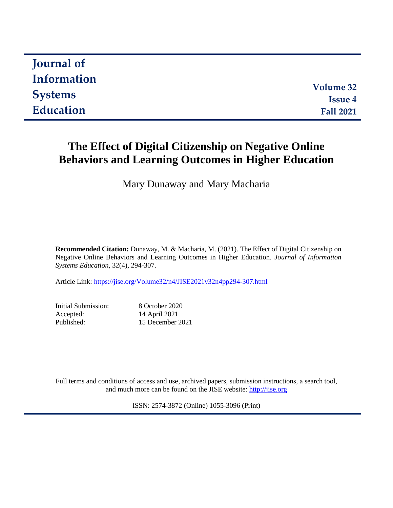| <b>Journal of</b> |                  |
|-------------------|------------------|
| Information       |                  |
|                   | <b>Volume 32</b> |
| <b>Systems</b>    | <b>Issue 4</b>   |
| Education         | <b>Fall 2021</b> |
|                   |                  |

# **The Effect of Digital Citizenship on Negative Online Behaviors and Learning Outcomes in Higher Education**

Mary Dunaway and Mary Macharia

**Recommended Citation:** Dunaway, M. & Macharia, M. (2021). The Effect of Digital Citizenship on Negative Online Behaviors and Learning Outcomes in Higher Education. *Journal of Information Systems Education,* 32(4), 294-307.

Article Link: <https://jise.org/Volume32/n4/JISE2021v32n4pp294-307.html>

| Initial Submission: | 8 October 2020   |
|---------------------|------------------|
| Accepted:           | 14 April 2021    |
| Published:          | 15 December 2021 |

Full terms and conditions of access and use, archived papers, submission instructions, a search tool, and much more can be found on the JISE website: [http://jise.org](http://jise.org/)

ISSN: 2574-3872 (Online) 1055-3096 (Print)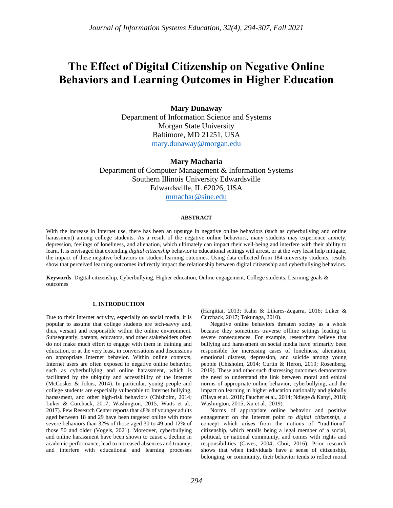# **The Effect of Digital Citizenship on Negative Online Behaviors and Learning Outcomes in Higher Education**

## **Mary Dunaway**

Department of Information Science and Systems Morgan State University Baltimore, MD 21251, USA [mary.dunaway@morgan.edu](mailto:mary.dunaway@morgan.edu)

**Mary Macharia** Department of Computer Management & Information Systems Southern Illinois University Edwardsville Edwardsville, IL 62026, USA [mmachar@siue.edu](mailto:mmachar@siue.edu)

#### **ABSTRACT**

With the increase in Internet use, there has been an upsurge in negative online behaviors (such as cyberbullying and online harassment) among college students. As a result of the negative online behaviors, many students may experience anxiety, depression, feelings of loneliness, and alienation, which ultimately can impact their well-being and interfere with their ability to learn. It is envisaged that extending *digital citizenship* behavior to educational settings will arrest, or at the very least help mitigate, the impact of these negative behaviors on student learning outcomes. Using data collected from 184 university students, results show that perceived learning outcomes indirectly impact the relationship between digital citizenship and cyberbullying behaviors.

**Keywords**: Digital citizenship, Cyberbullying, Higher education, Online engagement, College students, Learning goals & outcomes

#### **1. INTRODUCTION**

Due to their Internet activity, especially on social media, it is popular to assume that college students are tech-savvy and, thus, versant and responsible within the online environment. Subsequently, parents, educators, and other stakeholders often do not make much effort to engage with them in training and education, or at the very least, in conversations and discussions on appropriate Internet behavior. Within online contexts, Internet users are often exposed to negative online behavior, such as cyberbullying and online harassment, which is facilitated by the ubiquity and accessibility of the Internet (McCosker & Johns, 2014). In particular, young people and college students are especially vulnerable to Internet bullying, harassment, and other high-risk behaviors (Chisholm, 2014; Luker & Curchack, 2017; Washington, 2015; Watts et al., 2017). Pew Research Center reports that 48% of younger adults aged between 18 and 29 have been targeted online with more severe behaviors than 32% of those aged 30 to 49 and 12% of those 50 and older (Vogels, 2021). Moreover, cyberbullying and online harassment have been shown to cause a decline in academic performance, lead to increased absences and truancy, and interfere with educational and learning processes (Hargittai, 2013; Kahn & Liñares-Zegarra, 2016; Luker & Curchack, 2017; Tokunaga, 2010).

Negative online behaviors threaten society as a whole because they sometimes traverse offline settings leading to severe consequences. For example, researchers believe that bullying and harassment on social media have primarily been responsible for increasing cases of loneliness, alienation, emotional distress, depression, and suicide among young people (Chisholm, 2014; Curtin & Heron, 2019; Rosenberg, 2019). These and other such distressing outcomes demonstrate the need to understand the link between moral and ethical norms of appropriate online behavior, cyberbullying, and the impact on learning in higher education nationally and globally (Blaya et al., 2018; Faucher et al., 2014; Ndiege & Kanyi, 2018; Washington, 2015; Xu et al., 2019).

Norms of appropriate online behavior and positive engagement on the Internet point to *digital citizenship*, a concept which arises from the notions of "traditional" citizenship, which entails being a legal member of a social, political, or national community, and comes with rights and responsibilities (Caves, 2004; Choi, 2016). Prior research shows that when individuals have a sense of citizenship, belonging, or community, their behavior tends to reflect moral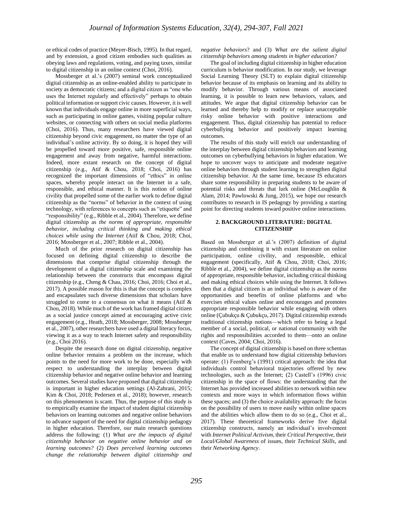or ethical codes of practice (Meyer-Bisch, 1995). In that regard, and by extension, a good citizen embodies such qualities as obeying laws and regulations, voting, and paying taxes, similar to digital citizenship in an online context (Choi, 2016).

Mossberger et al.'s (2007) seminal work conceptualized digital citizenship as an online-enabled ability to participate in society as democratic citizens; and a digital citizen as "one who uses the Internet regularly and effectively" perhaps to obtain political information or support civic causes. However, it is well known that individuals engage online in more superficial ways, such as participating in online games, visiting popular culture websites, or connecting with others on social media platforms (Choi, 2016). Thus, many researchers have viewed digital citizenship beyond civic engagement, no matter the type of an individual's online activity. By so doing, it is hoped they will be propelled toward more positive, safe, responsible online engagement and away from negative, harmful interactions. Indeed, more extant research on the concept of digital citizenship (e.g., Atif & Chou, 2018; Choi, 2016) has recognized the important dimensions of "ethics" in online spaces, whereby people interact on the Internet in a safe, responsible, and ethical manner. It is this notion of online civility that propelled some of the earlier work to define digital citizenship as the "norms" of behavior in the context of using technology, with references to concepts such as "etiquette" and "responsibility" (e.g., Ribble et al., 2004). Therefore, we define digital citizenship as *the norms of appropriate, responsible behavior, including critical thinking and making ethical choices while using the Internet* (Atif & Chou, 2018; Choi, 2016; Mossberger et al., 2007; Ribble et al., 2004).

Much of the prior research on digital citizenship has focused on defining digital citizenship to describe the dimensions that comprise digital citizenship through the development of a digital citizenship scale and examining the relationship between the constructs that encompass digital citizenship (e.g., Cheng & Chau, 2016; Choi, 2016; Choi et al., 2017). A possible reason for this is that the concept is complex and encapsulates such diverse dimensions that scholars have struggled to come to a consensus on what it means (Atif & Chou, 2018). While much of the work has framed digital citizen as a social justice concept aimed at encouraging active civic engagement (e.g., Heath, 2018; Mossberger, 2008; Mossberger et al., 2007), other researchers have used a digital literacy focus, viewing it as a way to teach Internet safety and responsibility (e.g., Choi 2016).

Despite the research done on digital citizenship, negative online behavior remains a problem on the increase, which points to the need for more work to be done, especially with respect to understanding the interplay between digital citizenship behavior and negative online behavior and learning outcomes. Several studies have proposed that digital citizenship is important in higher education settings (Al-Zahrani, 2015; Kim & Choi, 2018; Pedersen et al., 2018); however, research on this phenomenon is scant. Thus, the purpose of this study is to empirically examine the impact of student digital citizenship behaviors on learning outcomes and negative online behaviors to advance support of the need for digital citizenship pedagogy in higher education. Therefore, our main research questions address the following: (1) *What are the impacts of digital citizenship behavior on negative online behavior and on learning outcomes?* (2) *Does perceived learning outcomes change the relationship between digital citizenship and*  *negative behaviors*? and (3) *What are the salient digital citizenship behaviors among students in higher education?*

The goal of including digital citizenship in higher education curriculum is behavior modification. In our study, we leverage Social Learning Theory (SLT) to explain digital citizenship behavior because of its emphasis on learning and its ability to modify behavior. Through various means of associated learning, it is possible to learn new behaviors, values, and attitudes. We argue that digital citizenship behavior can be learned and thereby help to modify or replace unacceptable risky online behavior with positive interactions and engagement. Thus, digital citizenship has potential to reduce cyberbullying behavior and positively impact learning outcomes.

The results of this study will enrich our understanding of the interplay between digital citizenship behaviors and learning outcomes on cyberbullying behaviors in higher education. We hope to uncover ways to anticipate and moderate negative online behaviors through student learning to strengthen digital citizenship behavior. At the same time, because IS educators share some responsibility in preparing students to be aware of potential risks and threats that lurk online (McLoughlin & Alam, 2014; Pawlowski & Jung, 2015), we hope our research contributes to research in IS pedagogy by providing a starting point for directing students toward positive online interactions.

#### **2. BACKGROUND LITERATURE: DIGITAL CITIZENSHIP**

Based on Mossberger et al.'s (2007) definition of digital citizenship and combining it with extant literature on online participation, online civility, and responsible, ethical engagement (specifically, Atif & Chou, 2018; Choi, 2016; Ribble et al., 2004), we define digital citizenship as the norms of appropriate, responsible behavior, including critical thinking and making ethical choices while using the Internet. It follows then that a digital citizen is an individual who is aware of the opportunities and benefits of online platforms and who exercises ethical values online and encourages and promotes appropriate responsible behavior while engaging with others online (Çubukçu & Çubukçu, 2017). Digital citizenship extends traditional citizenship notions—which refer to being a legal member of a social, political, or national community with the rights and responsibilities accorded to them—onto an online context (Caves, 2004; Choi, 2016).

The concept of digital citizenship is based on three schemas that enable us to understand how digital citizenship behaviors operate: (1) Feenberg's (1991) critical approach: the idea that individuals control behavioral trajectories offered by new technologies, such as the Internet; (2) Castell's (1996) civic citizenship in the space of flows: the understanding that the Internet has provided increased abilities to network within new contexts and more ways in which information flows within these spaces; and (3) the choice availability approach: the focus on the possibility of users to move easily within online spaces and the abilities which allow them to do so (e.g., Choi et al., 2017). These theoretical frameworks derive five digital citizenship constructs, namely an individual's involvement with *Internet Political Activism*, their *Critical Perspective*, their *Local/Global Awareness* of issues, their *Technical Skills*, and their *Networking Agency*.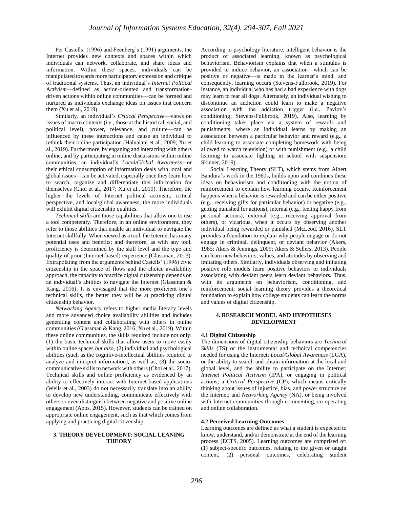Per Castells' (1996) and Feenberg's (1991) arguments, the Internet provides new contexts and spaces within which individuals can network, collaborate, and share ideas and information. Within these spaces, individuals can be manipulated towards more participatory expression and critique of traditional systems. Thus, an individual's *Internet Political* A*ctivism*—defined as action-oriented and transformationdriven actions within online communities—can be formed and nurtured as individuals exchange ideas on issues that concern them (Xu et al., 2019).

Similarly, an individual's *Critical Perspective*—views on issues of macro contexts (i.e., those at the historical, social, and political level), power, relevance, and culture—can be influenced by these interactions and cause an individual to rethink their online participation (Halualani et al., 2009; Xu et al., 2019). Furthermore, by engaging and interacting with others online, and by participating in online discussions within online communities, an individual's *Local/Global Awareness—*or their ethical consumption of information deals with local and global issues—can be activated, especially once they learn how to search, organize and differentiate this information for themselves (Choi et al., 2017; Xu et al., 2019). Therefore, the higher the levels of Internet political activism, critical perspective, and local/global awareness, the more individuals will exhibit digital citizenship qualities.

*Technical skills* are those capabilities that allow one to use a tool competently. Therefore, in an online environment, they refer to those abilities that enable an individual to navigate the Internet skillfully. When viewed as a tool, the Internet has many potential uses and benefits; and therefore, as with any tool, proficiency is determined by the skill level and the type and quality of prior (Internet-based) experience (Glassman, 2013). Extrapolating from the arguments behind Castells' (1996) civic citizenship in the space of flows and the choice availability approach, the capacity to practice digital citizenship depends on an individual's abilities to navigate the Internet (Glassman & Kang, 2016). It is envisaged that the more proficient one's technical skills, the better they will be at practicing digital citizenship behavior.

*Networking Agency* refers to higher media literacy levels and more advanced choice availability abilities and includes generating content and collaborating with others in online communities (Glassman & Kang, 2016; Xu et al., 2019). Within these online communities, the skills required include not only: (1) the basic technical skills that allow users to move easily within online spaces *but also*, (2) individual and psychological abilities (such as the cognitive-intellectual abilities required to analyze and interpret information), as well as, (3) the sociocommunicative skills to network with others (Choi et al., 2017). Technical skills and online proficiency as evidenced by an ability to effectively interact with Internet-based applications (Wells et al., 2003) do not necessarily translate into an ability to develop new understanding, communicate effectively with others or even distinguish between negative and positive online engagement (Apps, 2015). However, students can be trained on appropriate online engagement, such as that which comes from applying and practicing digital citizenship.

#### **3. THEORY DEVELOPMENT: SOCIAL LEANING THEORY**

According to psychology literature, intelligent behavior is the product of associated learning, known as psychological behaviorism. Behaviorism explains that when a stimulus is provided to induce behavior, an association—which can be positive or negative—is made in the learner's mind, and consequently, learning occurs (Stevens-Fullbrook, 2019). For instance, an individual who has had a bad experience with dogs may learn to fear all dogs. Alternately, an individual wishing to discontinue an addiction could learn to make a negative association with the addiction trigger (i.e., Pavlov's conditioning; Stevens-Fullbrook, 2019). Also, learning by conditioning takes place via a system of rewards and punishments, where an individual learns by making an association between a particular behavior and reward (e.g., a child learning to associate completing homework with being allowed to watch television) or with punishment (e.g., a child learning to associate fighting in school with suspension; Skinner, 2019).

Social Learning Theory (SLT), which stems from Albert Bandura's work in the 1960s, builds upon and combines these ideas on behaviorism and conditioning with the notion of reinforcement to explain how learning occurs. Reinforcement happens when a behavior is rewarded and can be either positive (e.g., receiving gifts for particular behavior) or negative (e.g., getting punished for actions), internal (e.g., feeling happy from personal actions), external (e.g., receiving approval from others), or vicarious, when it occurs by observing another individual being rewarded or punished (McLeod, 2016). SLT provides a foundation to explain why people engage or do not engage in criminal, delinquent, or deviant behavior (Akers, 1985; Akers & Jennings, 2009; Akers & Sellers, 2013). People can learn new behaviors, values, and attitudes by observing and imitating others. Similarly, individuals observing and imitating positive role models learn positive behaviors or individuals associating with deviant peers learn deviant behaviors. Thus, with its arguments on behaviorism, conditioning, and reinforcement, social learning theory provides a theoretical foundation to explain how college students can learn the norms and values of digital citizenship.

#### **4. RESEARCH MODEL AND HYPOTHESES DEVELOPMENT**

#### **4.1 Digital Citizenship**

The dimensions of digital citizenship behaviors are *Technical Skills* (TS) or the instrumental and technical competencies needed for using the Internet; *Local/Global Awareness* (LGA), or the ability to search and obtain information at the local and global level, and the ability to participate on the Internet; *Internet Political Activism* (IPA), or engaging in political actions; a *Critical Perspective* (CP), which means critically thinking about issues of injustice, bias, and power structure on the Internet; and *Networking Agency* (NA), or being involved with Internet communities through commenting, co-operating and online collaboration.

#### **4.2 Perceived Learning Outcomes**

Learning outcomes are defined as what a student is expected to know, understand, and/or demonstrate at the end of the learning process (ECTS, 2005). Learning outcomes are comprised of: (1) subject-specific outcomes, relating to the given or taught content, (2) personal outcomes, celebrating student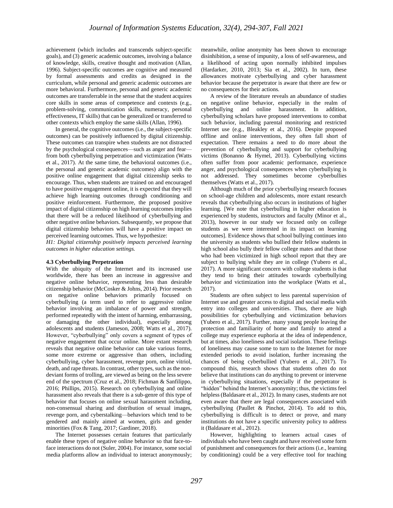achievement (which includes and transcends subject-specific goals), and (3) generic academic outcomes, involving a balance of knowledge, skills, creative thought and motivation (Allan, 1996). Subject-specific outcomes are cognitive and measured by formal assessments and credits as designed in the curriculum, while personal and generic academic outcomes are more behavioral. Furthermore, personal and generic academic outcomes are transferrable in the sense that the student acquires core skills in some areas of competence and contexts (e.g., problem-solving, communication skills, numeracy, personal effectiveness, IT skills) that can be generalized or transferred to other contexts which employ the same skills (Allan, 1996).

In general, the cognitive outcomes (i.e., the subject-specific outcomes) can be positively influenced by digital citizenship. These outcomes can transpire when students are not distracted by the psychological consequences—such as anger and fear from both cyberbullying perpetration and victimization (Watts et al., 2017). At the same time, the behavioral outcomes (i.e., the personal and generic academic outcomes) align with the positive online engagement that digital citizenship seeks to encourage. Thus, when students are trained on and encouraged to have positive engagement online, it is expected that they will achieve high learning outcomes through conditioning and positive reinforcement. Furthermore, the proposed positive impact of digital citizenship on high learning outcomes implies that there will be a reduced likelihood of cyberbullying and other negative online behaviors. Subsequently, we propose that digital citizenship behaviors will have a positive impact on perceived learning outcomes. Thus, we hypothesize:

*H1: Digital citizenship positively impacts perceived learning outcomes in higher education settings.*

#### **4.3 Cyberbullying Perpetration**

With the ubiquity of the Internet and its increased use worldwide, there has been an increase in aggressive and negative online behavior, representing less than desirable citizenship behavior (McCosker & Johns, 2014). Prior research on negative online behaviors primarily focused on cyberbullying (a term used to refer to aggressive online behavior involving an imbalance of power and strength, performed repeatedly with the intent of harming, embarrassing, or damaging the other individual), especially among adolescents and students (Jameson, 2008; Watts et al., 2017). However, "cyberbullying" only covers a segment of types of negative engagement that occur online. More extant research reveals that negative online behavior can take various forms, some more extreme or aggressive than others, including cyberbullying, cyber harassment, revenge porn, online vitriol, death, and rape threats. In contrast, other types, such as the nondeviant forms of trolling, are viewed as being on the less severe end of the spectrum (Cruz et al., 2018; Fichman & Sanfilippo, 2016; Phillips, 2015). Research on cyberbullying and online harassment also reveals that there is a sub-genre of this type of behavior that focuses on online sexual harassment including, non-consensual sharing and distribution of sexual images, revenge porn, and cyberstalking—behaviors which tend to be gendered and mainly aimed at women, girls and gender minorities (Fox & Tang, 2017; Gardiner, 2018).

The Internet possesses certain features that particularly enable these types of negative online behavior so that face-toface interactions do not (Suler, 2004). For instance, some social media platforms allow an individual to interact anonymously; meanwhile, online anonymity has been shown to encourage disinhibition, a sense of impunity, a loss of self-awareness, and a likelihood of acting upon normally inhibited impulses (Hardarker, 2010, 2013; Sia et al., 2002). In turn, these allowances motivate cyberbullying and cyber harassment behavior because the perpetrator is aware that there are few or no consequences for their actions.

A review of the literature reveals an abundance of studies on negative online behavior, especially in the realm of cyberbullying and online harassment. In addition, cyberbullying scholars have proposed interventions to combat such behavior, including parental monitoring and restricted Internet use (e.g., Bleakley et al., 2016). Despite proposed offline and online interventions, they often fall short of expectation. There remains a need to do more about the prevention of cyberbullying and support for cyberbullying victims (Bonanno & Hymel, 2013). Cyberbullying victims often suffer from poor academic performance, experience anger, and psychological consequences when cyberbullying is not addressed. They sometimes become cyberbullies themselves (Watts et al., 2017).

Although much of the prior cyberbullying research focuses on school-age children and adolescents, more extant research reveals that cyberbullying also occurs in institutions of higher learning. [We note that cyberbulling in higher education is experienced by students, instructors and faculty (Minor et al., 2013), however in our study we focused only on college students as we were interested in its impact on learning outcomes]. Evidence shows that school bullying continues into the university as students who bullied their fellow students in high school also bully their fellow college mates and that those who had been victimized in high school report that they are subject to bullying while they are in college (Yubero et al., 2017). A more significant concern with college students is that they tend to bring their attitudes towards cyberbullying behavior and victimization into the workplace (Watts et al., 2017).

Students are often subject to less parental supervision of Internet use and greater access to digital and social media with entry into colleges and universities. Thus, there are high possibilities for cyberbullying and victimization behaviors (Yubero et al., 2017). Further, many young people leaving the protection and familiarity of home and family to attend a college may experience euphoria at the idea of independence, but at times, also loneliness and social isolation. These feelings of loneliness may cause some to turn to the Internet for more extended periods to avoid isolation, further increasing the chances of being cyberbullied (Yubero et al., 2017). To compound this, research shows that students often do not believe that institutions can do anything to prevent or intervene in cyberbullying situations, especially if the perpetrator is "hidden" behind the Internet's anonymity; thus, the victims feel helpless (Baldasare et al., 2012). In many cases, students are not even aware that there are legal consequences associated with cyberbullying (Paullet & Pinchot, 2014). To add to this, cyberbullying is difficult is to detect or prove, and many institutions do not have a specific university policy to address it (Baldasare et al., 2012).

However, highlighting to learners actual cases of individuals who have been caught and have received some form of punishment and consequences for their actions (i.e., learning by conditioning) could be a very effective tool for teaching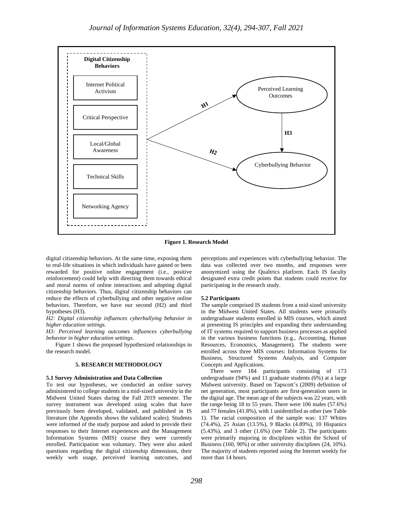

**Figure 1. Research Model**

digital citizenship behaviors. At the same time, exposing them to real-life situations in which individuals have gained or been rewarded for positive online engagement (i.e., positive reinforcement) could help with directing them towards ethical and moral norms of online interactions and adopting digital citizenship behaviors. Thus, digital citizenship behaviors can reduce the effects of cyberbullying and other negative online behaviors. Therefore, we have our second (H2) and third hypotheses (H3).

*H2: Digital citizenship influences cyberbullying behavior in higher education settings.*

*H3: Perceived learning outcomes influences cyberbullying behavior in higher education settings.*

Figure 1 shows the proposed hypothesized relationships in the research model.

#### **5. RESEARCH METHODOLOGY**

#### **5.1 Survey Administration and Data Collection**

To test our hypotheses, we conducted an online survey administered to college students in a mid-sized university in the Midwest United States during the Fall 2019 semester. The survey instrument was developed using scales that have previously been developed, validated, and published in IS literature (the Appendix shows the validated scales). Students were informed of the study purpose and asked to provide their responses to their Internet experiences and the Management Information Systems (MIS) course they were currently enrolled. Participation was voluntary. They were also asked questions regarding the digital citizenship dimensions, their weekly web usage, perceived learning outcomes, and perceptions and experiences with cyberbullying behavior. The data was collected over two months, and responses were anonymized using the Qualtrics platform. Each IS faculty designated extra credit points that students could receive for participating in the research study.

#### **5.2 Participants**

The sample comprised IS students from a mid-sized university in the Midwest United States. All students were primarily undergraduate students enrolled in MIS courses, which aimed at presenting IS principles and expanding their understanding of IT systems required to support business processes as applied in the various business functions (e.g., Accounting, Human Resources, Economics, Management). The students were enrolled across three MIS courses: Information Systems for Business, Structured Systems Analysis, and Computer Concepts and Applications.

There were 184 participants consisting of 173 undergraduate (94%) and 11 graduate students (6%) at a large Midwest university. Based on Tapscott's (2009) definition of net generation, most participants are first-generation users in the digital age. The mean age of the subjects was 22 years, with the range being 18 to 55 years. There were 106 males (57.6%) and 77 females (41.8%), with 1 unidentified as other (see Table 1). The racial composition of the sample was: 137 Whites (74.4%), 25 Asian (13.5%), 9 Blacks (4.89%), 10 Hispanics (5.43%), and 3 other (1.6%) (see Table 2). The participants were primarily majoring in disciplines within the School of Business (160, 90%) or other university disciplines (24, 10%). The majority of students reported using the Internet weekly for more than 14 hours.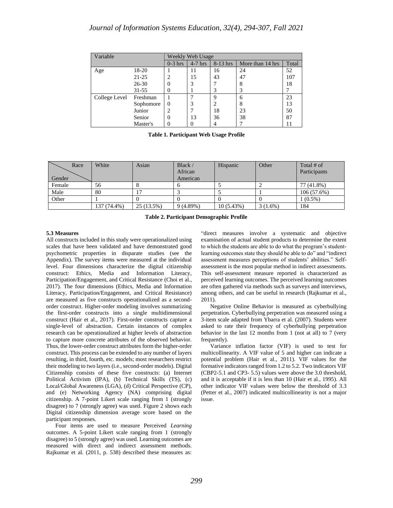| Variable      |           |           | Weekly Web Usage |            |                  |       |
|---------------|-----------|-----------|------------------|------------|------------------|-------|
|               |           | $0-3$ hrs | $4-7$ hrs        | $8-13$ hrs | More than 14 hrs | Total |
| Age           | 18-20     |           | 11               | 16         | 24               | 52    |
|               | 21-25     |           | 15               | 43         | 47               | 107   |
|               | $26 - 30$ | $\theta$  | 3                | 7          | 8                | 18    |
|               | $31 - 55$ | $\theta$  |                  | 3          |                  |       |
| College Level | Freshman  |           |                  | 9          | 6                | 23    |
|               | Sophomore | $\Omega$  | 3                | 2          | 8                | 13    |
|               | Junior    | 2         |                  | 18         | 23               | 50    |
|               | Senior    | 0         | 13               | 36         | 38               | 87    |
|               | Master's  |           | 0                | 4          |                  | 11    |

**Table 1. Participant Web Usage Profile**

| Race   | White       | Asian      | Black $/$<br>African | Hispanic  | Other      | Total # of<br>Participants |
|--------|-------------|------------|----------------------|-----------|------------|----------------------------|
| Gender |             |            | American             |           |            |                            |
| Female | 56          |            |                      |           |            | 77 (41.8%)                 |
| Male   | 80          |            |                      |           |            | 106(57.6%)                 |
| Other  |             |            |                      |           |            | $1(0.5\%)$                 |
|        | 137 (74.4%) | 25 (13.5%) | 9(4.89%)             | 10(5.43%) | $3(1.6\%)$ | 184                        |

**Table 2. Participant Demographic Profile**

#### **5.3 Measures**

All constructs included in this study were operationalized using scales that have been validated and have demonstrated good psychometric properties in disparate studies (see the Appendix). The survey items were measured at the individual level. Four dimensions characterize the digital citizenship construct: Ethics, Media and Information Literacy, Participation/Engagement, and Critical Resistance (Choi et al., 2017). The four dimensions (Ethics, Media and Information Literacy, Participation/Engagement, and Critical Resistance) are measured as five constructs operationalized as a secondorder construct. Higher-order modeling involves summarizing the first-order constructs into a single multidimensional construct (Hair et al., 2017). First-order constructs capture a single-level of abstraction. Certain instances of complex research can be operationalized at higher levels of abstraction to capture more concrete attributes of the observed behavior. Thus, the lower-order construct attributes form the higher-order construct. This process can be extended to any number of layers resulting, in third, fourth, etc. models; most researchers restrict their modeling to two layers (i.e., second-order models). Digital Citizenship consists of these five constructs: (a) Internet Political Activism (IPA), (b) Technical Skills (TS), (c) Local/Global Awareness (LGA), (d) Critical Perspective (CP), and (e) Networking Agency (NA) comprising digital citizenship. A 7-point Likert scale ranging from 1 (strongly disagree) to 7 (strongly agree) was used. Figure 2 shows each Digital citizenship dimension average score based on the participant responses.

Four items are used to measure Perceived *Learning*  outcomes. A 5-point Likert scale ranging from 1 (strongly disagree) to 5 (strongly agree) was used. Learning outcomes are measured with direct and indirect assessment methods. Rajkumar et al. (2011, p. 538) described these measures as: "direct measures involve a systematic and objective examination of actual student products to determine the extent to which the students are able to do what the program's studentlearning outcomes state they should be able to do" and "indirect assessment measures perceptions of students' abilities." Selfassessment is the most popular method in indirect assessments. This self-assessment measure reported is characterized as perceived learning outcomes. The perceived learning outcomes are often gathered via methods such as surveys and interviews, among others, and can be useful in research (Rajkumar et al., 2011).

Negative Online Behavior is measured as cyberbullying perpetration. Cyberbullying perpetration was measured using a 3-item scale adapted from Ybarra et al. (2007). Students were asked to rate their frequency of cyberbullying perpetration behavior in the last 12 months from 1 (not at all) to 7 (very frequently).

Variance inflation factor (VIF) is used to test for multicollinearity. A VIF value of 5 and higher can indicate a potential problem (Hair et al., 2011). VIF values for the formative indicators ranged from 1.2 to 5.2. Two indicators VIF (CBP2-5.1 and CP3- 5.5) values were above the 3.0 threshold, and it is acceptable if it is less than 10 (Hair et al., 1995). All other indicator VIF values were below the threshold of 3.3 (Petter et al., 2007) indicated multicollinearity is not a major issue.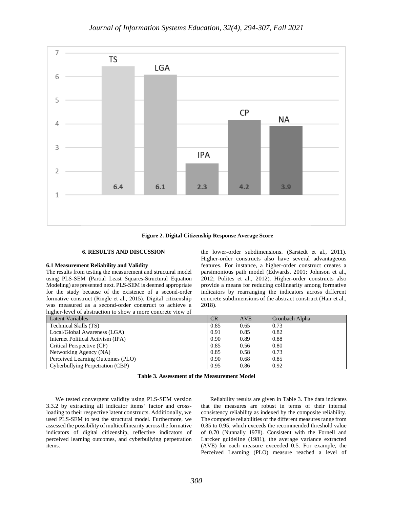

**Figure 2. Digital Citizenship Response Average Score**

#### **6. RESULTS AND DISCUSSION**

#### **6.1 Measurement Reliability and Validity**

The results from testing the measurement and structural model using PLS-SEM (Partial Least Squares-Structural Equation Modeling) are presented next. PLS-SEM is deemed appropriate for the study because of the existence of a second-order formative construct (Ringle et al., 2015). Digital citizenship was measured as a second-order construct to achieve a higher-level of abstraction to show a more concrete view of

the lower-order subdimensions. (Sarstedt et al., 2011). Higher-order constructs also have several advantageous features. For instance, a higher-order construct creates a parsimonious path model (Edwards, 2001; Johnson et al., 2012; Polites et al., 2012). Higher-order constructs also provide a means for reducing collinearity among formative indicators by rearranging the indicators across different concrete subdimensions of the abstract construct (Hair et al., 2018).

| Latent Variables                  | CR   | <b>AVE</b> | Cronbach Alpha |
|-----------------------------------|------|------------|----------------|
| Technical Skills (TS)             | 0.85 | 0.65       | 0.73           |
| Local/Global Awareness (LGA)      | 0.91 | 0.85       | 0.82           |
| Internet Political Activism (IPA) | 0.90 | 0.89       | 0.88           |
| Critical Perspective (CP)         | 0.85 | 0.56       | 0.80           |
| Networking Agency (NA)            | 0.85 | 0.58       | 0.73           |
| Perceived Learning Outcomes (PLO) | 0.90 | 0.68       | 0.85           |
| Cyberbullying Perpetration (CBP)  | 0.95 | 0.86       | 0.92           |

| <b>Table 3. Assessment of the Measurement Model</b> |  |  |  |  |  |
|-----------------------------------------------------|--|--|--|--|--|
|-----------------------------------------------------|--|--|--|--|--|

We tested convergent validity using PLS-SEM version 3.3.2 by extracting all indicator items' factor and crossloading to their respective latent constructs. Additionally, we used PLS-SEM to test the structural model. Furthermore, we assessed the possibility of multicollinearity across the formative indicators of digital citizenship, reflective indicators of perceived learning outcomes, and cyberbullying perpetration items.

Reliability results are given in Table 3. The data indicates that the measures are robust in terms of their internal consistency reliability as indexed by the composite reliability. The composite reliabilities of the different measures range from 0.85 to 0.95, which exceeds the recommended threshold value of 0.70 (Nunnally 1978). Consistent with the Fornell and Larcker guideline (1981), the average variance extracted (AVE) for each measure exceeded 0.5. For example, the Perceived Learning (PLO) measure reached a level of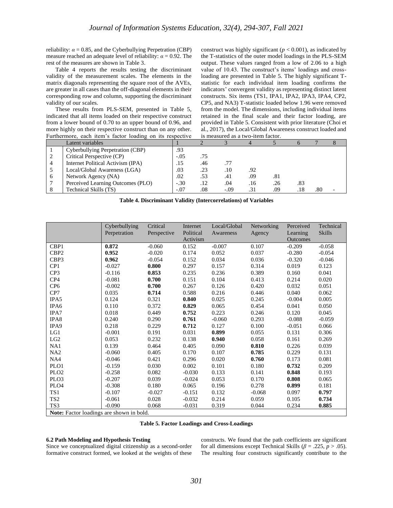reliability:  $\alpha = 0.85$ , and the Cyberbullying Perpetration (CBP) measure reached an adequate level of reliability:  $\alpha = 0.92$ . The rest of the measures are shown in Table 3.

Table 4 reports the results testing the discriminant validity of the measurement scales. The elements in the matrix diagonals representing the square root of the AVEs, are greater in all cases than the off-diagonal elements in their corresponding row and column, supporting the discriminant validity of our scales.

These results from PLS-SEM, presented in Table 5, indicated that all items loaded on their respective construct from a lower bound of 0.70 to an upper bound of 0.96, and more highly on their respective construct than on any other. Furthermore, each item's factor loading on its respective

construct was highly significant ( $p < 0.001$ ), as indicated by the T-statistics of the outer model loadings in the PLS-SEM output. These values ranged from a low of 2.06 to a high value of 10.43. The construct's items' loadings and crossloading are presented in Table 5. The highly significant Tstatistic for each individual item loading confirms the indicators' convergent validity as representing distinct latent constructs. Six items (TS1, IPA1, IPA2, IPA3, IPA4, CP2, CP5, and NA3) T-statistic loaded below 1.96 were removed from the model. The dimensions, including individual items retained in the final scale and their factor loading, are provided in Table 5. Consistent with prior literature (Choi et al., 2017), the Local/Global Awareness construct loaded and is measured as a two-item factor.

|   | Latent variables                  |        |     |        |     |     |     |     |  |
|---|-----------------------------------|--------|-----|--------|-----|-----|-----|-----|--|
|   | Cyberbullying Perpetration (CBP)  | .93    |     |        |     |     |     |     |  |
|   | Critical Perspective (CP)         | $-.05$ | .75 |        |     |     |     |     |  |
| 4 | Internet Political Activism (IPA) | .15    | .46 | .77    |     |     |     |     |  |
|   | Local/Global Awareness (LGA)      | .03    | .23 | .10    | .92 |     |     |     |  |
| 6 | Network Agency (NA)               | .02    | .53 | .41    | .09 | .81 |     |     |  |
|   | Perceived Learning Outcomes (PLO) | $-.30$ | .12 | .04    | .16 | .26 | .83 |     |  |
|   | Technical Skills (TS)             | $-.07$ | .08 | $-.09$ | .31 | .09 |     | .80 |  |

| Table 4. Discriminant Validity (Intercorrelations) of Variables |  |  |  |  |  |  |
|-----------------------------------------------------------------|--|--|--|--|--|--|
|-----------------------------------------------------------------|--|--|--|--|--|--|

|                                                 | Cyberbullying | Critical    | Internet  | Local/Global | Networking | Perceived       | Technical     |
|-------------------------------------------------|---------------|-------------|-----------|--------------|------------|-----------------|---------------|
|                                                 | Perpetration  | Perspective | Political | Awareness    | Agency     | Learning        | <b>Skills</b> |
|                                                 |               |             | Activism  |              |            | <b>Outcomes</b> |               |
| CBP1                                            | 0.872         | $-0.060$    | 0.152     | $-0.007$     | 0.107      | $-0.209$        | $-0.058$      |
| CBP <sub>2</sub>                                | 0.952         | $-0.020$    | 0.174     | 0.052        | 0.037      | $-0.280$        | $-0.054$      |
| CBP3                                            | 0.962         | $-0.054$    | 0.152     | 0.034        | 0.036      | $-0.320$        | $-0.046$      |
| CP1                                             | $-0.027$      | 0.800       | 0.297     | 0.157        | 0.314      | 0.019           | 0.123         |
| CP <sub>3</sub>                                 | $-0.116$      | 0.853       | 0.235     | 0.236        | 0.389      | 0.160           | 0.041         |
| CP <sub>4</sub>                                 | $-0.081$      | 0.700       | 0.151     | 0.104        | 0.413      | 0.214           | 0.020         |
| CP <sub>6</sub>                                 | $-0.002$      | 0.700       | 0.267     | 0.126        | 0.420      | 0.032           | 0.051         |
| CP7                                             | 0.035         | 0.714       | 0.588     | 0.216        | 0.446      | 0.040           | 0.062         |
| IPA5                                            | 0.124         | 0.321       | 0.840     | 0.025        | 0.245      | $-0.004$        | 0.005         |
| IPA6                                            | 0.110         | 0.372       | 0.829     | 0.065        | 0.454      | 0.041           | 0.050         |
| IPA7                                            | 0.018         | 0.449       | 0.752     | 0.223        | 0.246      | 0.120           | 0.045         |
| IPA8                                            | 0.240         | 0.290       | 0.761     | $-0.060$     | 0.293      | $-0.088$        | $-0.059$      |
| IPA9                                            | 0.218         | 0.229       | 0.712     | 0.127        | 0.100      | $-0.051$        | 0.066         |
| LG1                                             | $-0.001$      | 0.191       | 0.031     | 0.899        | 0.055      | 0.131           | 0.306         |
| LG2                                             | 0.053         | 0.232       | 0.138     | 0.940        | 0.058      | 0.161           | 0.269         |
| NA1                                             | 0.139         | 0.464       | 0.405     | 0.090        | 0.810      | 0.226           | 0.039         |
| NA2                                             | $-0.060$      | 0.405       | 0.170     | 0.107        | 0.785      | 0.229           | 0.131         |
| NA4                                             | $-0.046$      | 0.421       | 0.296     | 0.020        | 0.760      | 0.173           | 0.081         |
| PLO1                                            | $-0.159$      | 0.030       | 0.002     | 0.101        | 0.180      | 0.732           | 0.209         |
| PLO <sub>2</sub>                                | $-0.258$      | 0.082       | $-0.030$  | 0.133        | 0.141      | 0.848           | 0.193         |
| PLO <sub>3</sub>                                | $-0.207$      | 0.039       | $-0.024$  | 0.053        | 0.170      | 0.808           | 0.065         |
| PLO <sub>4</sub>                                | $-0.308$      | 0.180       | 0.065     | 0.196        | 0.278      | 0.899           | 0.181         |
| TS1                                             | $-0.107$      | $-0.027$    | $-0.151$  | 0.132        | $-0.068$   | 0.097           | 0.797         |
| TS <sub>2</sub>                                 | $-0.061$      | 0.028       | $-0.032$  | 0.214        | 0.059      | 0.105           | 0.734         |
| TS <sub>3</sub>                                 | $-0.090$      | 0.068       | $-0.031$  | 0.319        | 0.044      | 0.234           | 0.885         |
| <b>Note:</b> Factor loadings are shown in bold. |               |             |           |              |            |                 |               |

**Table 5. Factor Loadings and Cross-Loadings**

#### **6.2 Path Modeling and Hypothesis Testing**

Since we conceptualized digital citizenship as a second-order formative construct formed, we looked at the weights of these constructs. We found that the path coefficients are significant for all dimensions except Technical Skills ( $\beta$  = .225,  $p$  > .05). The resulting four constructs significantly contribute to the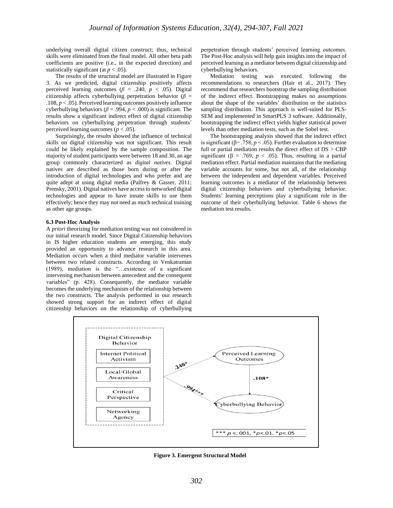underlying overall digital citizen construct; thus, technical skills were eliminated from the final model. All other beta path coefficients are positive (i.e., in the expected direction) and statistically significant (at  $p < .05$ ).

The results of the structural model are illustrated in Figure 3. As we predicted, digital citizenship positively affects perceived learning outcomes ( $\beta$  = .240,  $p$  < .05). Digital citizenship affects cyberbullying perpetration behavior (*β* = .108, *p* < .05). Perceived learning outcomes positively influence cyberbullying behaviors ( $\beta$  = .994,  $p$  < .000) is significant. The results show a significant indirect effect of digital citizenship behaviors on cyberbullying perpetration through students' perceived learning outcomes ( $p < .05$ ).

Surprisingly, the results showed the influence of technical skills on digital citizenship was not significant. This result could be likely explained by the sample composition. The majority of student participants were between 18 and 30, an age group commonly characterized as *digital natives*. Digital natives are described as those born during or after the introduction of digital technologies and who prefer and are quite adept at using digital media (Palfrey & Gasser, 2011; Prensky, 2001). Digital natives have access to networked digital technologies and appear to have innate skills to use them effectively; hence they may not need as much technical training as other age groups.

#### **6.3 Post-Hoc Analysis**

A *priori* theorizing for mediation testing was not considered in our initial research model. Since Digital Citizenship behaviors in IS higher education students are emerging, this study provided an opportunity to advance research in this area. Mediation occurs when a third mediator variable intervenes between two related constructs. According to Venkatraman (1989), mediation is the "…existence of a significant intervening mechanism between antecedent and the consequent variables" (p. 428). Consequently, the mediator variable becomes the underlying mechanism of the relationship between the two constructs. The analysis performed in our research showed strong support for an indirect effect of digital citizenship behaviors on the relationship of cyberbullying perpetration through students' perceived learning outcomes. The Post-Hoc analysis will help gain insights into the impact of perceived learning as a mediator between digital citizenship and cyberbullying behaviors.

Mediation testing was executed following the recommendations to researchers (Hair et al., 2017). They recommend that researchers bootstrap the sampling distribution of the indirect effect. Bootstrapping makes no assumptions about the shape of the variables' distribution or the statistics sampling distribution. This approach is well-suited for PLS-SEM and implemented in SmartPLS 3 software. Additionally, bootstrapping the indirect effect yields higher statistical power levels than other mediation tests, such as the Sobel test.

The bootstrapping analysis showed that the indirect effect is significant ( $\beta$ = .758, *p* < .05). Further evaluation to determine full or partial mediation results the direct effect of DS > CBP significant ( $\beta$  = .769,  $p < .05$ ). Thus, resulting in a partial mediation effect. Partial mediation maintains that the mediating variable accounts for some, but not all, of the relationship between the independent and dependent variables. Perceived learning outcomes is a mediator of the relationship between digital citizenship behaviors and cyberbullying behavior. Students' learning perceptions play a significant role in the outcome of their cyberbullying behavior. Table 6 shows the mediation test results.



**Figure 3. Emergent Structural Model**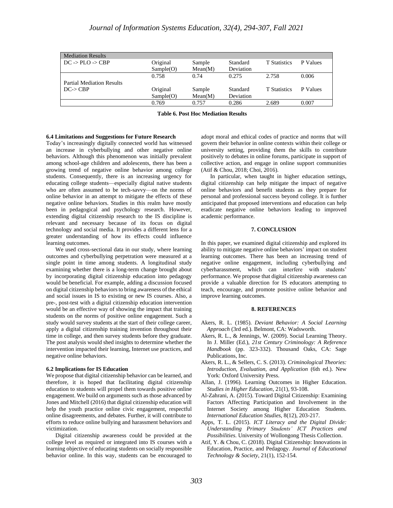| <b>Mediation Results</b>             |                       |                   |                       |                     |          |
|--------------------------------------|-----------------------|-------------------|-----------------------|---------------------|----------|
| $DC \rightarrow PLO \rightarrow CBP$ | Original<br>Sample(O) | Sample<br>Mean(M) | Standard<br>Deviation | <b>T</b> Statistics | P Values |
|                                      | 0.758                 | 0.74              | 0.275                 | 2.758               | 0.006    |
| <b>Partial Mediation Results</b>     |                       |                   |                       |                     |          |
| $DC\rightarrow CP$                   | Original              | Sample            | Standard              | <b>T</b> Statistics | P Values |
|                                      | Sample(O)             | Mean(M)           | Deviation             |                     |          |
|                                      | 0.769                 | 0.757             | 0.286                 | 2.689               | 0.007    |

**Table 6. Post Hoc Mediation Results**

### **6.4 Limitations and Suggestions for Future Research**

Today's increasingly digitally connected world has witnessed an increase in cyberbullying and other negative online behaviors. Although this phenomenon was initially prevalent among school-age children and adolescents, there has been a growing trend of negative online behavior among college students. Consequently, there is an increasing urgency for educating college students—especially digital native students who are often assumed to be tech-savvy—on the norms of online behavior in an attempt to mitigate the effects of these negative online behaviors. Studies in this realm have mostly been in pedagogical and psychology research. However, extending digital citizenship research to the IS discipline is relevant and necessary because of its focus on digital technology and social media. It provides a different lens for a greater understanding of how its effects could influence learning outcomes.

We used cross-sectional data in our study, where learning outcomes and cyberbullying perpetration were measured at a single point in time among students. A longitudinal study examining whether there is a long-term change brought about by incorporating digital citizenship education into pedagogy would be beneficial. For example, adding a discussion focused on digital citizenship behaviors to bring awareness of the ethical and social issues in IS to existing or new IS courses. Also, a pre-, post-test with a digital citizenship education intervention would be an effective way of showing the impact that training students on the norms of positive online engagement. Such a study would survey students at the start of their college career, apply a digital citizenship training invention throughout their time in college, and then survey students before they graduate. The post analysis would shed insights to determine whether the intervention impacted their learning, Internet use practices, and negative online behaviors.

#### **6.2 Implications for IS Education**

We propose that digital citizenship behavior can be learned, and therefore, it is hoped that facilitating digital citizenship education to students will propel them towards positive online engagement. We build on arguments such as those advanced by Jones and Mitchell (2016) that digital citizenship education will help the youth practice online civic engagement, respectful online disagreements, and debates. Further, it will contribute to efforts to reduce online bullying and harassment behaviors and victimization.

Digital citizenship awareness could be provided at the college level as required or integrated into IS courses with a learning objective of educating students on socially responsible behavior online. In this way, students can be encouraged to adopt moral and ethical codes of practice and norms that will govern their behavior in online contexts within their college or university setting, providing them the skills to contribute positively to debates in online forums, participate in support of collective action, and engage in online support communities (Atif & Chou, 2018; Choi, 2016).

In particular, when taught in higher education settings, digital citizenship can help mitigate the impact of negative online behaviors and benefit students as they prepare for personal and professional success beyond college. It is further anticipated that proposed interventions and education can help eradicate negative online behaviors leading to improved academic performance.

### **7. CONCLUSION**

In this paper, we examined digital citizenship and explored its ability to mitigate negative online behaviors' impact on student learning outcomes. There has been an increasing trend of negative online engagement, including cyberbullying and cyberharassment, which can interfere with students' performance. We propose that digital citizenship awareness can provide a valuable direction for IS educators attempting to teach, encourage, and promote positive online behavior and improve learning outcomes.

#### **8. REFERENCES**

- Akers, R. L. (1985). *Deviant Behavior: A Social Learning Approach* (3rd ed.). Belmont, CA: Wadsworth.
- Akers, R. L., & Jennings, W. (2009). Social Learning Theory. In J. Miller (Ed.), *21st Century Criminology: A Reference Handbook* (pp. 323-332). Thousand Oaks, CA: Sage Publications, Inc.
- Akers, R. L., & Sellers, C. S. (2013). *Criminological Theories: Introduction, Evaluation, and Application* (6th ed.). New York: Oxford University Press.
- Allan, J. (1996). Learning Outcomes in Higher Education. *Studies in Higher Education*, 21(1), 93-108.
- Al-Zahrani, A. (2015). Toward Digital Citizenship: Examining Factors Affecting Participation and Involvement in the Internet Society among Higher Education Students. *International Education Studies*, 8(12), 203-217.
- Apps, T. L. (2015). *ICT Literacy and the Digital Divide: Understanding Primary Students' ICT Practices and Possibilities*. University of Wollongong Thesis Collection.
- Atif, Y. & Chou, C. (2018). Digital Citizenship: Innovations in Education, Practice, and Pedagogy. *Journal of Educational Technology & Society*, 21(1), 152-154.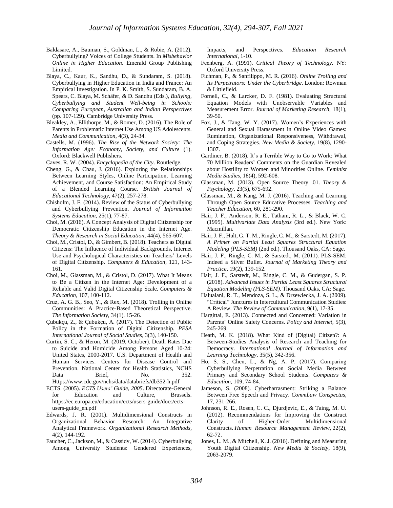- Baldasare, A., Bauman, S., Goldman, L., & Robie, A. (2012). Cyberbullying? Voices of College Students. In *Misbehavior Online in Higher Education*. Emerald Group Publishing Limited.
- Blaya, C., Kaur, K., Sandhu, D., & Sundaram, S. (2018). Cyberbullying in Higher Education in India and France: An Empirical Investigation. In P. K. Smith, S. Sundaram, B. A. Spears, C. Blaya, M. Schäfer, & D. Sandhu (Eds.), *Bullying, Cyberbullying and Student Well-being in Schools: Comparing European, Australian and Indian Perspectives* (pp. 107-129). Cambridge University Press.
- Bleakley, A., Ellithorpe, M., & Romer, D. (2016). The Role of Parents in Problematic Internet Use Among US Adolescents. *Media and Communication*, 4(3), 24-34.
- Castells, M. (1996). *The Rise of the Network Society: The Information Age: Economy, Society, and Culture* (1). Oxford: Blackwell Publishers.
- Caves, R. W. (2004). *Encyclopedia of the City*. Routledge.
- Cheng, G., & Chau, J. (2016). Exploring the Relationships Between Learning Styles, Online Participation, Learning Achievement, and Course Satisfaction: An Empirical Study of a Blended Learning Course. *British Journal of Educational Technology*, 47(2), 257-278.
- Chisholm, J. F. (2014). Review of the Status of Cyberbullying and Cyberbullying Prevention. *Journal of Information Systems Education*, 25(1), 77-87.
- Choi, M. (2016). A Concept Analysis of Digital Citizenship for Democratic Citizenship Education in the Internet Age. *Theory & Research in Social Education*, 44(4), 565-607.
- Choi, M., Cristol, D., & Gimbert, B. (2018). Teachers as Digital Citizens: The Influence of Individual Backgrounds, Internet Use and Psychological Characteristics on Teachers' Levels of Digital Citizenship. *Computers & Education*, 121, 143- 161.
- Choi, M., Glassman, M., & Cristol, D. (2017). What It Means to Be a Citizen in the Internet Age: Development of a Reliable and Valid Digital Citizenship Scale. *Computers & Education*, 107, 100-112.
- Cruz, A. G. B., Seo, Y., & Rex, M. (2018). Trolling in Online Communities: A Practice-Based Theoretical Perspective. *The Information Society*, 34(1), 15-26.
- Çubukçu, Z., & Çubukçu, A. (2017). The Detection of Public Policy in the Formation of Digital Citizenship. *PESA International Journal of Social Studies*, 3(3), 140-150.
- Curtin, S. C., & Heron, M. (2019, October). Death Rates Due to Suicide and Homicide Among Persons Aged 10-24: United States, 2000-2017. U.S. Department of Health and Human Services. Centers for Disease Control and Prevention. National Center for Health Statistics, NCHS Data Brief, No. 352. Https://www.cdc.gov/nchs/data/databriefs/db352-h.pdf
- ECTS. (2005). *ECTS Users' Guide*, *2005*. Directorate-General for Education and Culture, Brussels. https://ec.europa.eu/education/ects/users-guide/docs/ectsusers-guide\_en.pdf
- Edwards, J. R. (2001). Multidimensional Constructs in Organizational Behavior Research: An Integrative Analytical Framework. *Organizational Research Methods*, 4(2), 144-192.
- Faucher, C., Jackson, M., & Cassidy, W. (2014). Cyberbullying Among University Students: Gendered Experiences,

Impacts, and Perspectives. *Education Research International*, 1-10.

- Feenberg, A. (1991). *Critical Theory of Technology*. NY: Oxford University Press.
- Fichman, P., & Sanfilippo, M. R. (2016). *Online Trolling and Its Perpetrators: Under the Cyberbridge*. London: Rowman & Littlefield.
- Fornell, C., & Larcker, D. F. (1981). Evaluating Structural Equation Models with Unobservable Variables and Measurement Error. *Journal of Marketing Research*, 18(1), 39-50.
- Fox, J., & Tang, W. Y. (2017). Women's Experiences with General and Sexual Harassment in Online Video Games: Rumination, Organizational Responsiveness, Withdrawal, and Coping Strategies. *New Media & Society*, 19(8), 1290- 1307.
- Gardiner, B. (2018). It's a Terrible Way to Go to Work: What 70 Million Readers' Comments on the Guardian Revealed about Hostility to Women and Minorities Online. *Feminist Media Studies*, 18(4), 592-608.
- Glassman, M. (2013). Open Source Theory .01. *Theory & Psychology*, 23(5), 675-692.
- Glassman, M., & Kang, M. J. (2016). Teaching and Learning Through Open Source Educative Processes. *Teaching and Teacher Education*, 60, 281-290.
- Hair, J. F., Anderson, R. E., Tatham, R. L., & Black, W. C. (1995). *Multivariate Data Analysis* (3rd ed.). New York: Macmillan.
- Hair, J. F., Hult, G. T. M., Ringle, C. M., & Sarstedt, M. (2017). *A Primer on Partial Least Squares Structural Equation Modeling (PLS-SEM)* (2nd ed.). Thousand Oaks, CA: Sage.
- Hair, J. F., Ringle, C. M., & Sarstedt, M. (2011). PLS-SEM: Indeed a Silver Bullet. *Journal of Marketing Theory and Practice*, 19(2), 139-152.
- Hair, J. F., Sarstedt, M., Ringle, C. M., & Gudergan, S. P. (2018). *Advanced Issues in Partial Least Squares Structural Equation Modeling (PLS-SEM)*. Thousand Oaks, CA: Sage.
- Halualani, R. T., Mendoza, S. L., & Drzewiecka, J. A. (2009). "Critical" Junctures in Intercultural Communication Studies: A Review. *The Review of Communication*, 9(1), 17-35.
- Hargittai, E. (2013). Connected and Concerned: Variation in Parents' Online Safety Concerns. *Policy and Internet*, 5(3), 245-269.
- Heath, M. K. (2018). What Kind of (Digital) Citizen?: A Between-Studies Analysis of Research and Teaching for Democracy. *International Journal of Information and Learning Technology*, 35(5), 342-356.
- Ho, S. S., Chen, L., & Ng, A. P. (2017). Comparing Cyberbullying Perpetration on Social Media Between Primary and Secondary School Students. *Computers & Education*, 109, 74-84.
- Jameson, S. (2008). Cyberharrasment: Striking a Balance Between Free Speech and Privacy. *CommLaw Conspectus*, 17, 231-266.
- Johnson, R. E., Rosen, C. C., Djurdjevic, E., & Taing, M. U. (2012). Recommendations for Improving the Construct Clarity of Higher-Order Multidimensional Constructs. *Human Resource Management Review*, 22(2), 62-72.
- Jones, L. M., & Mitchell, K. J. (2016). Defining and Measuring Youth Digital Citizenship. *New Media & Society*, 18(9), 2063-2079.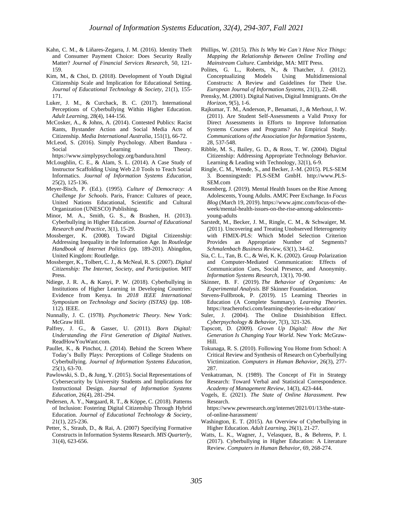- Kahn, C. M., & Liñares-Zegarra, J. M. (2016). Identity Theft and Consumer Payment Choice: Does Security Really Matter? *Journal of Financial Services Research*, 50, 121- 159.
- Kim, M., & Choi, D. (2018). Development of Youth Digital Citizenship Scale and Implication for Educational Setting. *Journal of Educational Technology & Society*, 21(1), 155- 171.
- Luker, J. M., & Curchack, B. C. (2017). International Perceptions of Cyberbullying Within Higher Education. *Adult Learning*, 28(4), 144-156.
- McCosker, A., & Johns, A. (2014). Contested Publics: Racist Rants, Bystander Action and Social Media Acts of Citizenship. *Media International Australia*, 151(1), 66-72.
- McLeod, S. (2016). Simply Psychology. Albert Bandura Social Learning Theory. https://www.simplypsychology.org/bandura.html
- McLoughlin, C. E., & Alam, S. L. (2014). A Case Study of Instructor Scaffolding Using Web 2.0 Tools to Teach Social Informatics. *Journal of Information Systems Education*, 25(2), 125-136.
- Meyer-Bisch, P. (Ed.). (1995). *Culture of Democracy: A Challenge for Schools*. Paris, France: Cultures of peace, United Nations Educational, Scientific and Cultural Organization (UNESCO) Publishing.
- Minor, M. A., Smith, G. S., & Brashen, H. (2013). Cyberbullying in Higher Education. *Journal of Educational Research and Practice*, 3(1), 15-29.
- Mossberger, K. (2008). Toward Digital Citizenship: Addressing Inequality in the Information Age. In *Routledge Handbook of Internet Politics* (pp. 189-201). Abingdon, United Kingdom: Routledge.
- Mossberger, K., Tolbert, C. J., & McNeal, R. S. (2007). *Digital Citizenship: The Internet, Society, and Participation*. MIT Press.
- Ndiege, J. R. A., & Kanyi, P. W. (2018). Cyberbullying in Institutions of Higher Learning in Developing Countries: Evidence from Kenya. In *2018 IEEE International Symposium on Technology and Society (ISTAS)* (pp. 108- 112). IEEE.
- Nunnally, J. C. (1978). *Psychometric Theory*. New York: McGraw Hill.
- Palfrey, J. G., & Gasser, U. (2011). *Born Digital: Understanding the First Generation of Digital Natives*. ReadHowYouWant.com.
- Paullet, K., & Pinchot, J. (2014). Behind the Screen Where Today's Bully Plays: Perceptions of College Students on Cyberbullying. *Journal of Information Systems Education*, 25(1), 63-70.
- Pawlowski, S. D., & Jung, Y. (2015). Social Representations of Cybersecurity by University Students and Implications for Instructional Design. *Journal of Information Systems Education*, 26(4), 281-294.
- Pedersen, A. Y., Nørgaard, R. T., & Köppe, C. (2018). Patterns of Inclusion: Fostering Digital Citizenship Through Hybrid Education. *Journal of Educational Technology & Society*, 21(1), 225-236.
- Petter, S., Straub, D., & Rai, A. (2007) Specifying Formative Constructs in Information Systems Research. *MIS Quarterly*, 31(4), 623-656.
- Phillips, W. (2015). *This Is Why We Can't Have Nice Things: Mapping the Relationship Between Online Trolling and Mainstream Culture*. Cambridge, MA: MIT Press.
- Polites, G. L., Roberts, N., & Thatcher, J. (2012). Conceptualizing Models Using Multidimensional Constructs: A Review and Guidelines for Their Use. *European Journal of Information Systems,* 21(1), 22-48.
- Prensky, M. (2001). Digital Natives, Digital Immigrants. *On the Horizon*, 9(5), 1-6.
- Rajkumar, T. M., Anderson, P., Benamati, J., & Merhout, J. W. (2011). Are Student Self-Assessments a Valid Proxy for Direct Assessments in Efforts to Improve Information Systems Courses and Programs? An Empirical Study. *Communications of the Association for Information Systems*, 28, 537-548.
- Ribble, M. S., Bailey, G. D., & Ross, T. W. (2004). Digital Citizenship: Addressing Appropriate Technology Behavior. Learning & Leading with Technology, 32(1), 6-9.
- Ringle, C. M., Wende, S., and Becker, J.-M. (2015). PLS-SEM 3. Boenningstedt: PLS-SEM GmbH. http://www.PLS-SEM.com
- Rosenberg, J. (2019). Mental Health Issues on the Rise Among Adolescents, Young Adults. AMJC Peer Exchange. In *Focus Blog* (March 19, 2019)[. https://www.ajmc.com/focus-of-the](https://www.ajmc.com/focus-of-the-week/mental-health-issues-on-the-rise-among-adolescents-young-adults)[week/mental-health-issues-on-the-rise-among-adolescents](https://www.ajmc.com/focus-of-the-week/mental-health-issues-on-the-rise-among-adolescents-young-adults)[young-adults](https://www.ajmc.com/focus-of-the-week/mental-health-issues-on-the-rise-among-adolescents-young-adults)
- Sarstedt, M., Becker, J. M., Ringle, C. M., & Schwaiger, M. (2011). Uncovering and Treating Unobserved Heterogeneity with FIMIX-PLS: Which Model Selection Criterion Provides an Appropriate Number of Segments? *Schmalenbach Business Review*, 63(1), 34-62.
- Sia, C. L., Tan, B. C., & Wei, K. K. (2002). Group Polarization and Computer-Mediated Communication: Effects of Communication Cues, Social Presence, and Anonymity. *Information Systems Research*, 13(1), 70-90.
- Skinner, B. F. (2019). *The Behavior of Organisms: An Experimental Analysis*. BF Skinner Foundation.
- Stevens-Fullbrook, P. (2019). 15 Learning Theories in Education (A Complete Summary). *Learning Theories*. https://teacherofsci.com/learning-theories-in-education/
- Suler, J. (2004). The Online Disinhibition Effect. *Cyberpsychology & Behavior*, 7(3), 321-326.
- Tapscott, D. (2009). *Grown Up Digital: How the Net Generation Is Changing Your World*. New York: McGraw-Hill.
- Tokunaga, R. S. (2010). Following You Home from School: A Critical Review and Synthesis of Research on Cyberbullying Victimization. *Computers in Human Behavior*, 26(3), 277- 287.
- Venkatraman, N. (1989). The Concept of Fit in Strategy Research: Toward Verbal and Statistical Correspondence. *Academy of Management Review*, 14(3), 423-444.
- Vogels, E. (2021). *The State of Online Harassment*. Pew Research.
- https://www.pewresearch.org/internet/2021/01/13/the-stateof-online-harassment/
- Washington, E. T. (2015). An Overview of Cyberbullying in Higher Education. *Adult Learning*, 26(1), 21-27.
- Watts, L. K., Wagner, J., Velasquez, B., & Behrens, P. I. (2017). Cyberbullying in Higher Education: A Literature Review. *Computers in Human Behavior,* 69, 268-274.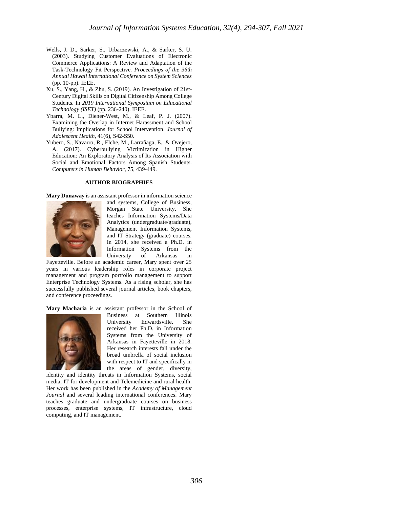- Wells, J. D., Sarker, S., Urbaczewski, A., & Sarker, S. U. (2003). Studying Customer Evaluations of Electronic Commerce Applications: A Review and Adaptation of the Task-Technology Fit Perspective. *Proceedings of the 36th Annual Hawaii International Conference on System Sciences* (pp. 10-pp). IEEE.
- Xu, S., Yang, H., & Zhu, S. (2019). An Investigation of 21st-Century Digital Skills on Digital Citizenship Among College Students. In *2019 International Symposium on Educational Technology (ISET)* (pp. 236-240). IEEE.
- Ybarra, M. L., Diener-West, M., & Leaf, P. J. (2007). Examining the Overlap in Internet Harassment and School Bullying: Implications for School Intervention. *Journal of Adolescent Health,* 41(6), S42-S50.
- Yubero, S., Navarro, R., Elche, M., Larrañaga, E., & Ovejero, A. (2017). Cyberbullying Victimization in Higher Education: An Exploratory Analysis of Its Association with Social and Emotional Factors Among Spanish Students. *Computers in Human Behavior*, 75, 439-449.

#### **AUTHOR BIOGRAPHIES**

**Mary Dunaway** is an assistant professor in information science



and systems, College of Business, Morgan State University. She teaches Information Systems/Data Analytics (undergraduate/graduate), Management Information Systems, and IT Strategy (graduate) courses. In 2014, she received a Ph.D. in Information Systems from the University of Arkansas in

Fayetteville. Before an academic career, Mary spent over 25 years in various leadership roles in corporate project management and program portfolio management to support Enterprise Technology Systems. As a rising scholar, she has successfully published several journal articles, book chapters, and conference proceedings.

**Mary Macharia** is an assistant professor in the School of



Business at Southern Illinois University Edwardsville. She received her Ph.D. in Information Systems from the University of Arkansas in Fayetteville in 2018. Her research interests fall under the broad umbrella of social inclusion with respect to IT and specifically in the areas of gender, diversity,

identity and identity threats in Information Systems, social media, IT for development and Telemedicine and rural health. Her work has been published in the *Academy of Management Journal* and several leading international conferences. Mary teaches graduate and undergraduate courses on business processes, enterprise systems, IT infrastructure, cloud computing, and IT management.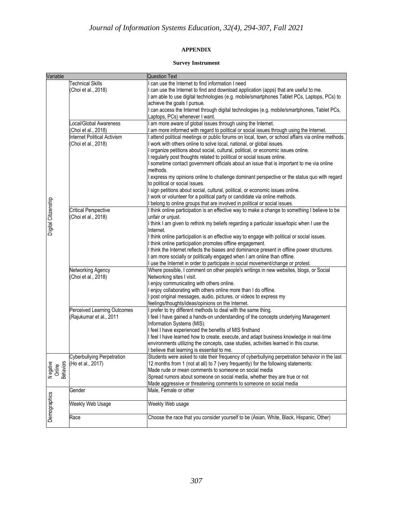# **APPENDIX**

## **Survey Instrument**

| Variable            |                                              | <b>Question Text</b>                                                                                                                                 |
|---------------------|----------------------------------------------|------------------------------------------------------------------------------------------------------------------------------------------------------|
|                     | <b>Technical Skills</b>                      | can use the Internet to find information I need                                                                                                      |
|                     | Choi et al., 2018)                           | can use the Internet to find and download application (apps) that are useful to me.                                                                  |
|                     |                                              | I am able to use digital technologies (e.g. mobile/smartphones Tablet PCs, Laptops, PCs) to                                                          |
|                     |                                              | achieve the goals I pursue.                                                                                                                          |
|                     |                                              | can access the Internet through digital technologies (e.g. mobile/smartphones, Tablet PCs,                                                           |
|                     |                                              | Laptops, PCs) whenever I want.                                                                                                                       |
|                     | Local/Global Awareness<br>Choi et al., 2018) | am more aware of global issues through using the Internet.<br>am more informed with regard to political or social issues through using the Internet. |
|                     | <b>Internet Political Activism</b>           | attend political meetings or public forums on local, town, or school affairs via online methods.                                                     |
|                     | Choi et al., 2018)                           | work with others online to solve local, national, or global issues.                                                                                  |
|                     |                                              | organize petitions about social, cultural, political, or economic issues online.                                                                     |
|                     |                                              | I regularly post thoughts related to political or social issues online.                                                                              |
|                     |                                              | I sometime contact government officials about an issue that is important to me via online                                                            |
|                     |                                              | methods.                                                                                                                                             |
|                     |                                              | I express my opinions online to challenge dominant perspective or the status quo with regard                                                         |
|                     |                                              | to political or social issues.                                                                                                                       |
|                     |                                              | I sign petitions about social, cultural, political, or economic issues online.                                                                       |
|                     |                                              | I work or volunteer for a political party or candidate via online methods.                                                                           |
|                     |                                              | belong to online groups that are involved in political or social issues.                                                                             |
|                     | <b>Critical Perspective</b>                  | I think online participation is an effective way to make a change to something I believe to be                                                       |
|                     | Choi et al., 2018)                           | unfair or unjust.<br>I think I am given to rethink my beliefs regarding a particular issue/topic when I use the                                      |
| Digital Citizenship |                                              | Internet.                                                                                                                                            |
|                     |                                              | I think online participation is an effective way to engage with political or social issues.                                                          |
|                     |                                              | I think online participation promotes offline engagement.                                                                                            |
|                     |                                              | I think the Internet reflects the biases and dominance present in offline power structures.                                                          |
|                     |                                              | I am more socially or politically engaged when I am online than offline.                                                                             |
|                     |                                              | I use the Internet in order to participate in social movement/change or protest.                                                                     |
|                     | Networking Agency                            | Where possible, I comment on other people's writings in new websites, blogs, or Social                                                               |
|                     | (Choi et al., 2018)                          | Networking sites I visit.                                                                                                                            |
|                     |                                              | enjoy communicating with others online.                                                                                                              |
|                     |                                              | enjoy collaborating with others online more than I do offline.                                                                                       |
|                     |                                              | post original messages, audio, pictures, or videos to express my                                                                                     |
|                     |                                              | feelings/thoughts/ideas/opinions on the Internet.                                                                                                    |
|                     | Perceived Learning Outcomes                  | prefer to try different methods to deal with the same thing.                                                                                         |
|                     | Rajukumar et al., 2011)                      | I feel I have gained a hands-on understanding of the concepts underlying Management<br>Information Systems (MIS).                                    |
|                     |                                              | I feel I have experienced the benefits of MIS firsthand                                                                                              |
|                     |                                              | I feel I have learned how to create, execute, and adapt business knowledge in real-time                                                              |
|                     |                                              | environments utilizing the concepts, case studies, activities learned in this course.                                                                |
|                     |                                              | I believe that learning is essential to me.                                                                                                          |
|                     | <b>Cyberbullying Perpetration</b>            | Students were asked to rate their frequency of cyberbullying perpetration behavior in the last                                                       |
| <b>Behaviors</b>    | (Ho et al., 2017)                            | 12 months from 1 (not at all) to 7 (very frequently) for the following statements:                                                                   |
| N egative<br>Online |                                              | Made rude or mean comments to someone on social media                                                                                                |
|                     |                                              | Spread rumors about someone on social media, whether they are true or not                                                                            |
|                     |                                              | Made aggressive or threatening comments to someone on social media                                                                                   |
|                     | Gender                                       | Male, Female or other                                                                                                                                |
| Demographics        | Weekly Web Usage                             | Weekly Web usage                                                                                                                                     |
|                     | Race                                         | Choose the race that you consider yourself to be (Asian, White, Black, Hispanic, Other)                                                              |
|                     |                                              |                                                                                                                                                      |